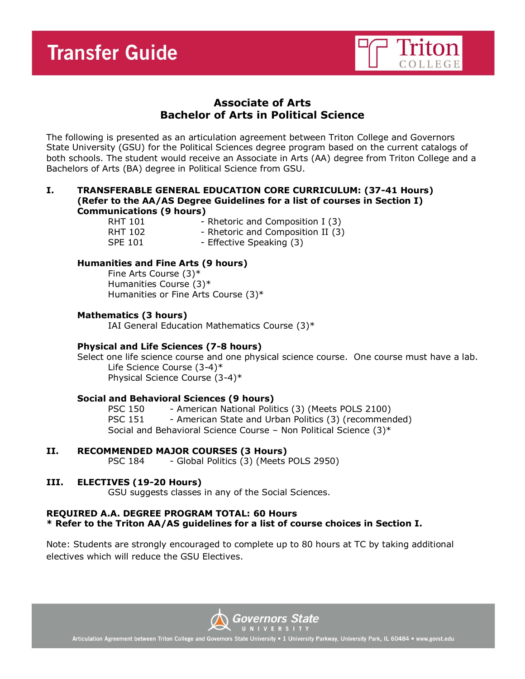

# **Associate of Arts Bachelor of Arts in Political Science**

The following is presented as an articulation agreement between Triton College and Governors State University (GSU) for the Political Sciences degree program based on the current catalogs of both schools. The student would receive an Associate in Arts (AA) degree from Triton College and a Bachelors of Arts (BA) degree in Political Science from GSU.

#### **I. TRANSFERABLE GENERAL EDUCATION CORE CURRICULUM: (37-41 Hours) (Refer to the AA/AS Degree Guidelines for a list of courses in Section I) Communications (9 hours)**

RHT 101 - Rhetoric and Composition I (3)

RHT 102 - Rhetoric and Composition II (3)

SPE 101 - Effective Speaking (3)

# **Humanities and Fine Arts (9 hours)**

Fine Arts Course (3)\* Humanities Course (3)\* Humanities or Fine Arts Course (3)\*

## **Mathematics (3 hours)**

IAI General Education Mathematics Course (3)\*

# **Physical and Life Sciences (7-8 hours)**

Select one life science course and one physical science course. One course must have a lab. Life Science Course (3-4)\* Physical Science Course (3-4)\*

## **Social and Behavioral Sciences (9 hours)**

PSC 150 - American National Politics (3) (Meets POLS 2100) PSC 151 - American State and Urban Politics (3) (recommended) Social and Behavioral Science Course – Non Political Science (3)\*

# **II. RECOMMENDED MAJOR COURSES (3 Hours)**

PSC 184 - Global Politics (3) (Meets POLS 2950)

## **III. ELECTIVES (19-20 Hours)**

GSU suggests classes in any of the Social Sciences.

## **REQUIRED A.A. DEGREE PROGRAM TOTAL: 60 Hours \* Refer to the Triton AA/AS guidelines for a list of course choices in Section I.**

Note: Students are strongly encouraged to complete up to 80 hours at TC by taking additional electives which will reduce the GSU Electives.



Articulation Agreement between Triton College and Governors State University . 1 University Parkway, University Park, IL 60484 . www.govst.edu